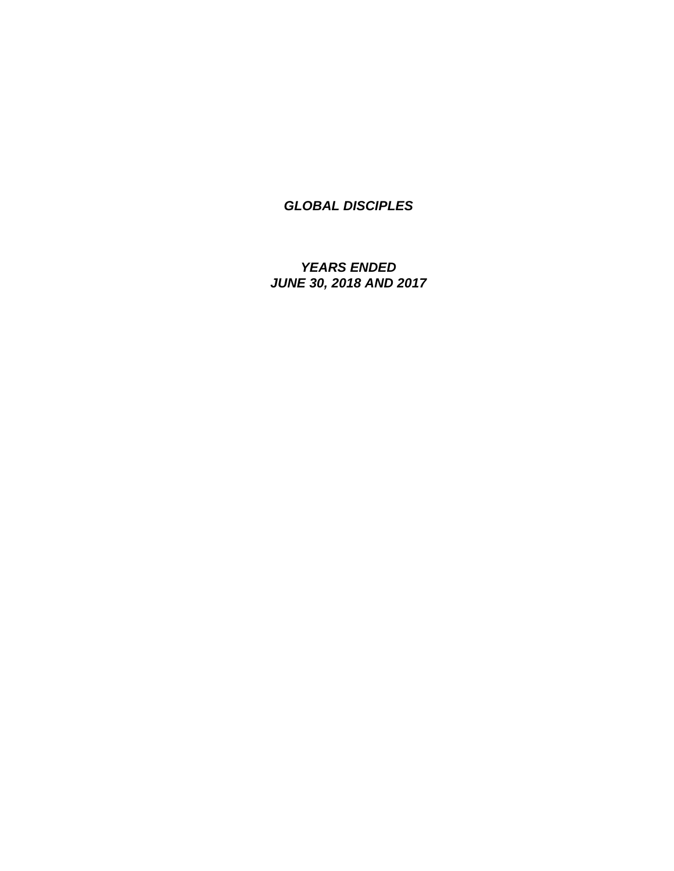*YEARS ENDED JUNE 30, 2018 AND 2017*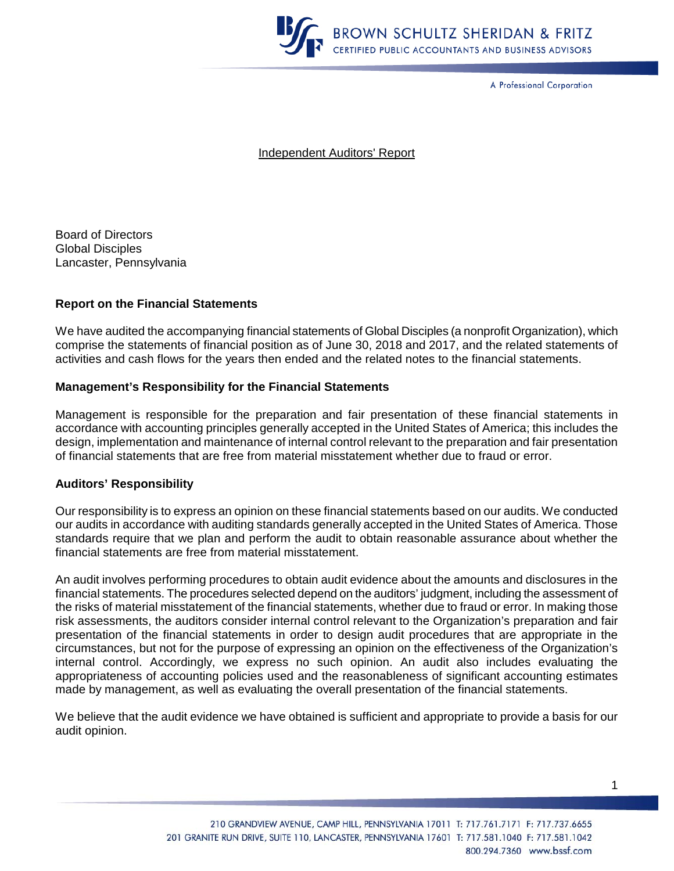

A Professional Corporation

Independent Auditors' Report

Board of Directors Global Disciples Lancaster, Pennsylvania

### **Report on the Financial Statements**

We have audited the accompanying financial statements of Global Disciples (a nonprofit Organization), which comprise the statements of financial position as of June 30, 2018 and 2017, and the related statements of activities and cash flows for the years then ended and the related notes to the financial statements.

#### **Management's Responsibility for the Financial Statements**

Management is responsible for the preparation and fair presentation of these financial statements in accordance with accounting principles generally accepted in the United States of America; this includes the design, implementation and maintenance of internal control relevant to the preparation and fair presentation of financial statements that are free from material misstatement whether due to fraud or error.

#### **Auditors' Responsibility**

Our responsibility is to express an opinion on these financial statements based on our audits. We conducted our audits in accordance with auditing standards generally accepted in the United States of America. Those standards require that we plan and perform the audit to obtain reasonable assurance about whether the financial statements are free from material misstatement.

An audit involves performing procedures to obtain audit evidence about the amounts and disclosures in the financial statements. The procedures selected depend on the auditors' judgment, including the assessment of the risks of material misstatement of the financial statements, whether due to fraud or error. In making those risk assessments, the auditors consider internal control relevant to the Organization's preparation and fair presentation of the financial statements in order to design audit procedures that are appropriate in the circumstances, but not for the purpose of expressing an opinion on the effectiveness of the Organization's internal control. Accordingly, we express no such opinion. An audit also includes evaluating the appropriateness of accounting policies used and the reasonableness of significant accounting estimates made by management, as well as evaluating the overall presentation of the financial statements.

We believe that the audit evidence we have obtained is sufficient and appropriate to provide a basis for our audit opinion.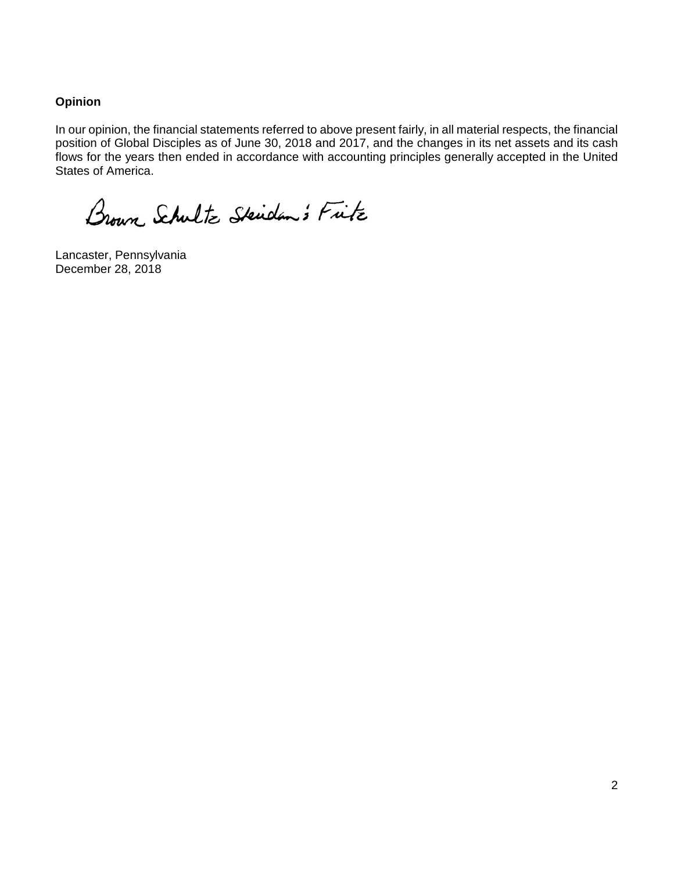## **Opinion**

In our opinion, the financial statements referred to above present fairly, in all material respects, the financial position of Global Disciples as of June 30, 2018 and 2017, and the changes in its net assets and its cash flows for the years then ended in accordance with accounting principles generally accepted in the United States of America.

Brown Schultz Skiden's Fitz

Lancaster, Pennsylvania December 28, 2018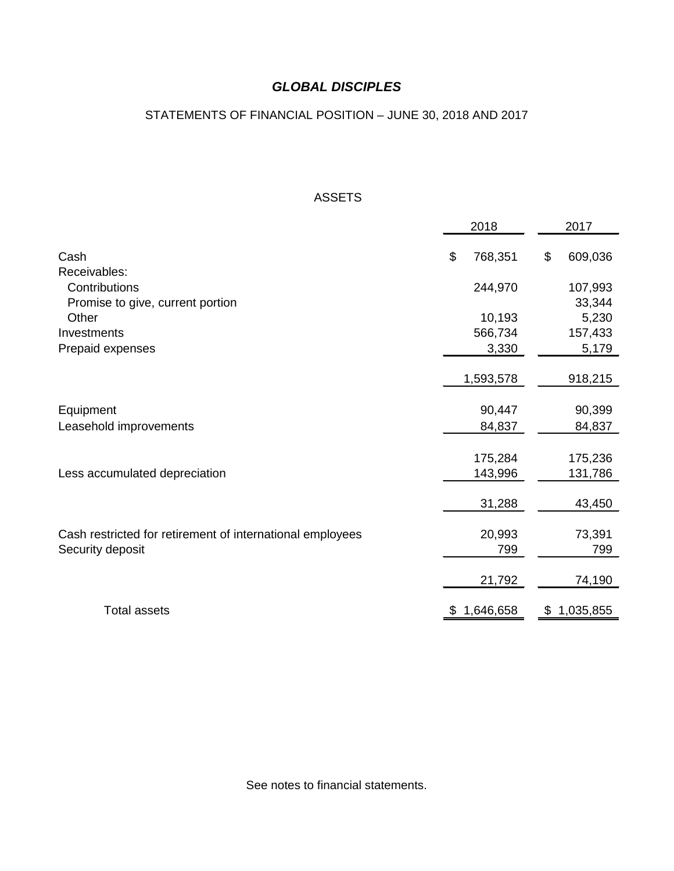## STATEMENTS OF FINANCIAL POSITION – JUNE 30, 2018 AND 2017

# ASSETS

|                                                           | 2018            | 2017            |
|-----------------------------------------------------------|-----------------|-----------------|
| Cash                                                      | \$<br>768,351   | \$<br>609,036   |
| Receivables:<br>Contributions                             | 244,970         | 107,993         |
| Promise to give, current portion<br>Other                 | 10,193          | 33,344<br>5,230 |
| Investments                                               | 566,734         | 157,433         |
| Prepaid expenses                                          | 3,330           | 5,179           |
|                                                           | 1,593,578       | 918,215         |
|                                                           |                 |                 |
| Equipment                                                 | 90,447          | 90,399          |
| Leasehold improvements                                    | 84,837          | 84,837          |
|                                                           |                 |                 |
|                                                           | 175,284         | 175,236         |
| Less accumulated depreciation                             | 143,996         | 131,786         |
|                                                           | 31,288          | 43,450          |
|                                                           |                 |                 |
| Cash restricted for retirement of international employees | 20,993          | 73,391          |
| Security deposit                                          | 799             | 799             |
|                                                           | 21,792          | 74,190          |
|                                                           |                 |                 |
| <b>Total assets</b>                                       | \$<br>1,646,658 | \$<br>1,035,855 |

See notes to financial statements.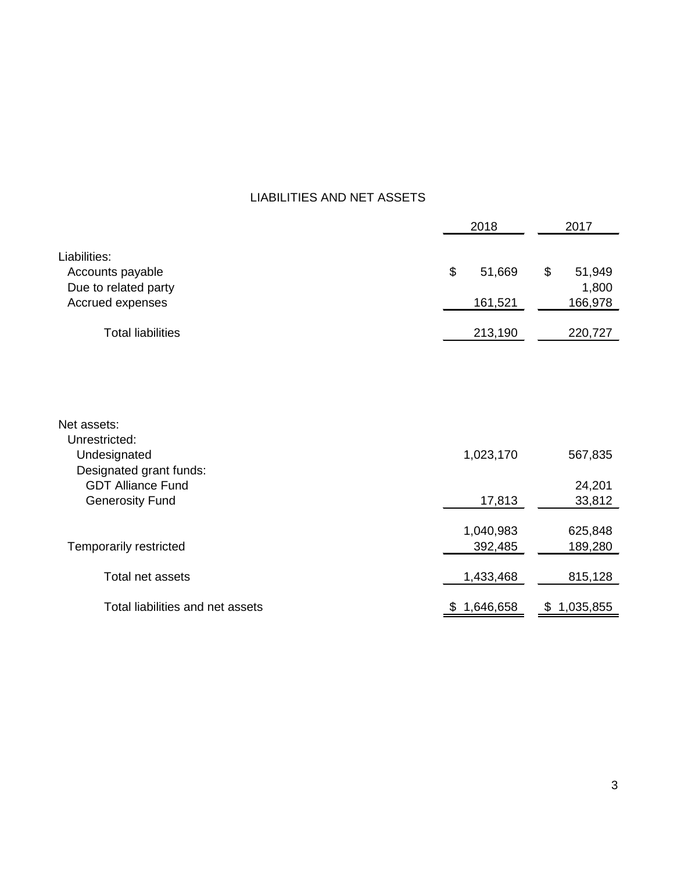# LIABILITIES AND NET ASSETS

|                                                                                                                               | 2018                    | 2017                             |  |
|-------------------------------------------------------------------------------------------------------------------------------|-------------------------|----------------------------------|--|
| Liabilities:<br>Accounts payable<br>Due to related party<br>Accrued expenses                                                  | \$<br>51,669<br>161,521 | \$<br>51,949<br>1,800<br>166,978 |  |
| <b>Total liabilities</b>                                                                                                      | 213,190                 | 220,727                          |  |
| Net assets:<br>Unrestricted:<br>Undesignated<br>Designated grant funds:<br><b>GDT Alliance Fund</b><br><b>Generosity Fund</b> | 1,023,170<br>17,813     | 567,835<br>24,201<br>33,812      |  |
| Temporarily restricted                                                                                                        | 1,040,983<br>392,485    | 625,848<br>189,280               |  |
| Total net assets                                                                                                              | 1,433,468               | 815,128                          |  |
| Total liabilities and net assets                                                                                              | 1,646,658               | 1,035,855<br>\$                  |  |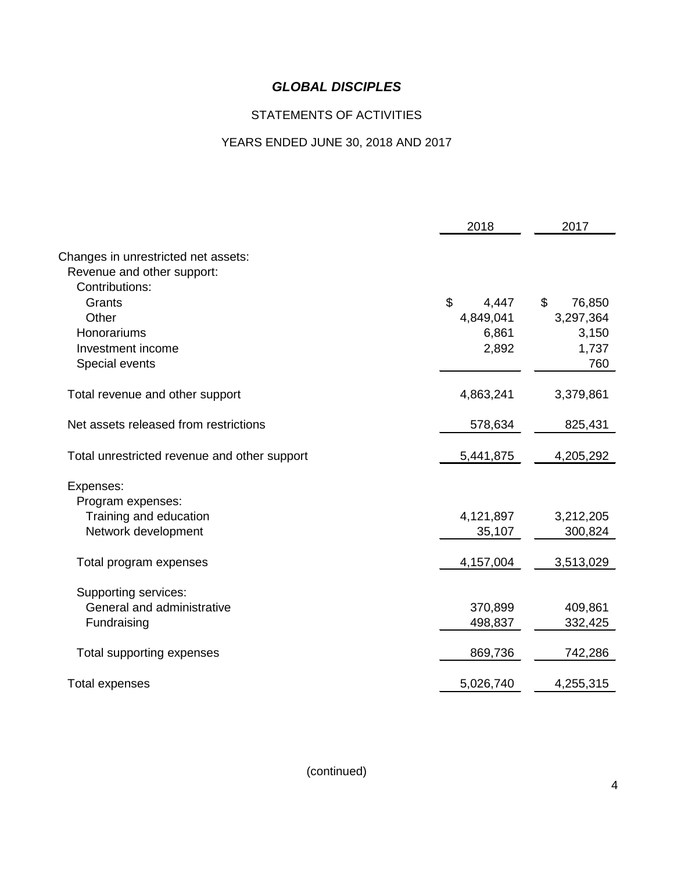# STATEMENTS OF ACTIVITIES

# YEARS ENDED JUNE 30, 2018 AND 2017

|                                              | 2018        | 2017                     |
|----------------------------------------------|-------------|--------------------------|
| Changes in unrestricted net assets:          |             |                          |
| Revenue and other support:                   |             |                          |
| Contributions:                               |             |                          |
| Grants                                       | \$<br>4,447 | $\mathfrak{L}$<br>76,850 |
| Other                                        | 4,849,041   | 3,297,364                |
| Honorariums                                  | 6,861       | 3,150                    |
| Investment income                            | 2,892       | 1,737                    |
| Special events                               |             | 760                      |
|                                              |             |                          |
| Total revenue and other support              | 4,863,241   | 3,379,861                |
|                                              |             |                          |
| Net assets released from restrictions        | 578,634     | 825,431                  |
|                                              |             |                          |
| Total unrestricted revenue and other support | 5,441,875   | 4,205,292                |
|                                              |             |                          |
| Expenses:                                    |             |                          |
| Program expenses:                            |             |                          |
| Training and education                       | 4,121,897   | 3,212,205                |
| Network development                          | 35,107      | 300,824                  |
| Total program expenses                       | 4,157,004   | 3,513,029                |
|                                              |             |                          |
| Supporting services:                         |             |                          |
| General and administrative                   | 370,899     | 409,861                  |
| Fundraising                                  | 498,837     | 332,425                  |
|                                              |             |                          |
| Total supporting expenses                    | 869,736     | 742,286                  |
|                                              |             |                          |
| <b>Total expenses</b>                        | 5,026,740   | 4,255,315                |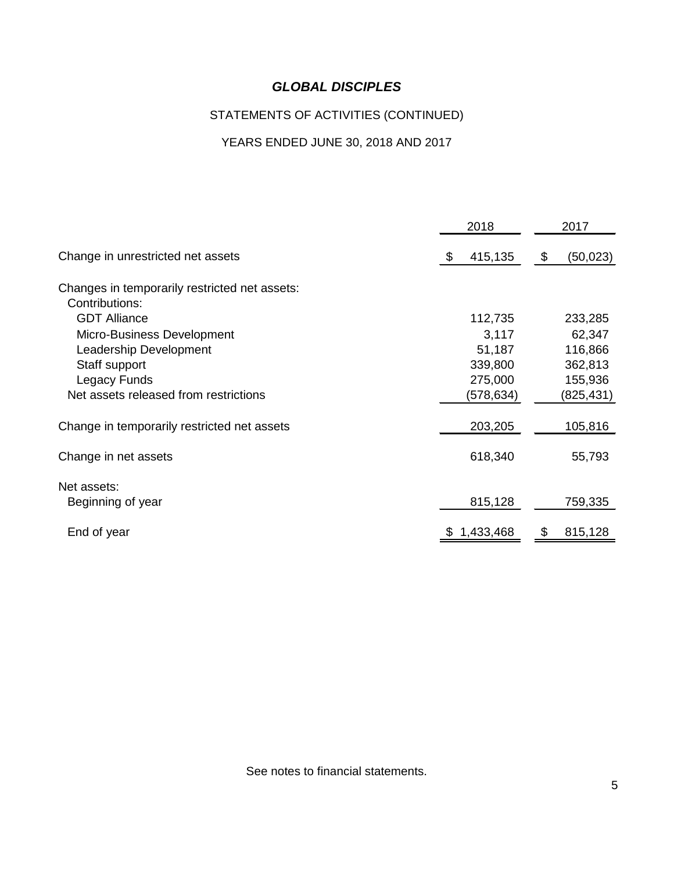# STATEMENTS OF ACTIVITIES (CONTINUED)

# YEARS ENDED JUNE 30, 2018 AND 2017

| 2018          | 2017           |
|---------------|----------------|
| 415,135<br>\$ | (50,023)<br>\$ |
|               |                |
|               |                |
| 112,735       | 233,285        |
| 3,117         | 62,347         |
| 51,187        | 116,866        |
| 339,800       | 362,813        |
| 275,000       | 155,936        |
| (578, 634)    | (825,431)      |
| 203,205       | 105,816        |
| 618,340       | 55,793         |
|               |                |
| 815,128       | 759,335        |
| 1,433,468     | 815,128        |
|               |                |

See notes to financial statements.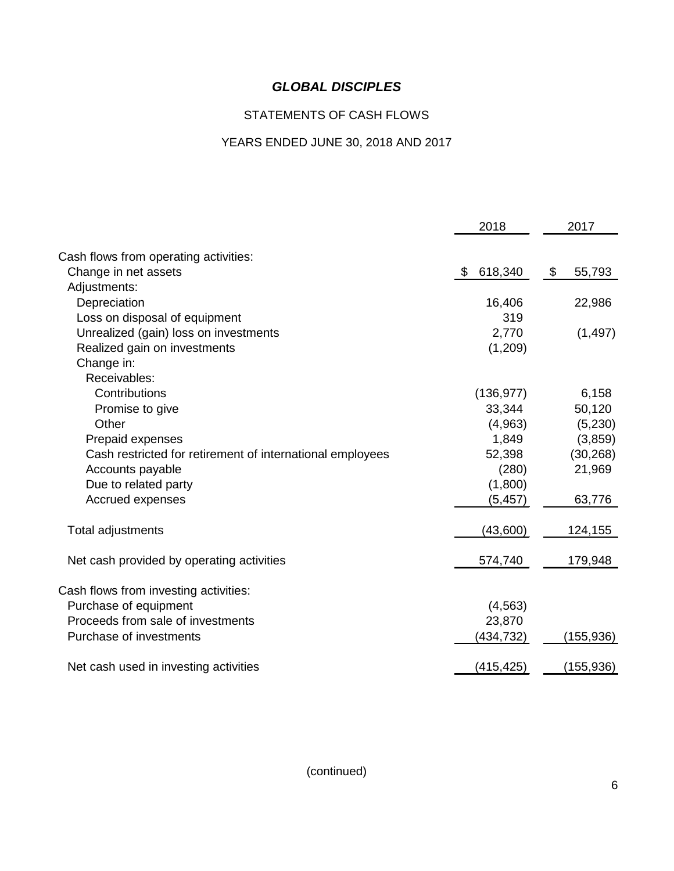# STATEMENTS OF CASH FLOWS

# YEARS ENDED JUNE 30, 2018 AND 2017

|                                                           | 2018                      | 2017                                |
|-----------------------------------------------------------|---------------------------|-------------------------------------|
| Cash flows from operating activities:                     |                           |                                     |
| Change in net assets                                      | 618,340<br>$\mathfrak{S}$ | $\boldsymbol{\mathsf{S}}$<br>55,793 |
| Adjustments:                                              |                           |                                     |
| Depreciation                                              | 16,406                    | 22,986                              |
| Loss on disposal of equipment                             | 319                       |                                     |
| Unrealized (gain) loss on investments                     | 2,770                     | (1, 497)                            |
| Realized gain on investments                              | (1,209)                   |                                     |
| Change in:                                                |                           |                                     |
| Receivables:                                              |                           |                                     |
| Contributions                                             | (136, 977)                | 6,158                               |
| Promise to give                                           | 33,344                    | 50,120                              |
| Other                                                     | (4,963)                   | (5,230)                             |
| Prepaid expenses                                          | 1,849                     | (3,859)                             |
| Cash restricted for retirement of international employees | 52,398                    | (30, 268)                           |
| Accounts payable                                          | (280)                     | 21,969                              |
| Due to related party                                      | (1,800)                   |                                     |
| Accrued expenses                                          | (5, 457)                  | 63,776                              |
| Total adjustments                                         | (43,600)                  | 124,155                             |
| Net cash provided by operating activities                 | 574,740                   | 179,948                             |
| Cash flows from investing activities:                     |                           |                                     |
| Purchase of equipment                                     | (4, 563)                  |                                     |
| Proceeds from sale of investments                         | 23,870                    |                                     |
| Purchase of investments                                   | (434,732)                 | (155,936)                           |
| Net cash used in investing activities                     | (415, 425)                | (155, 936)                          |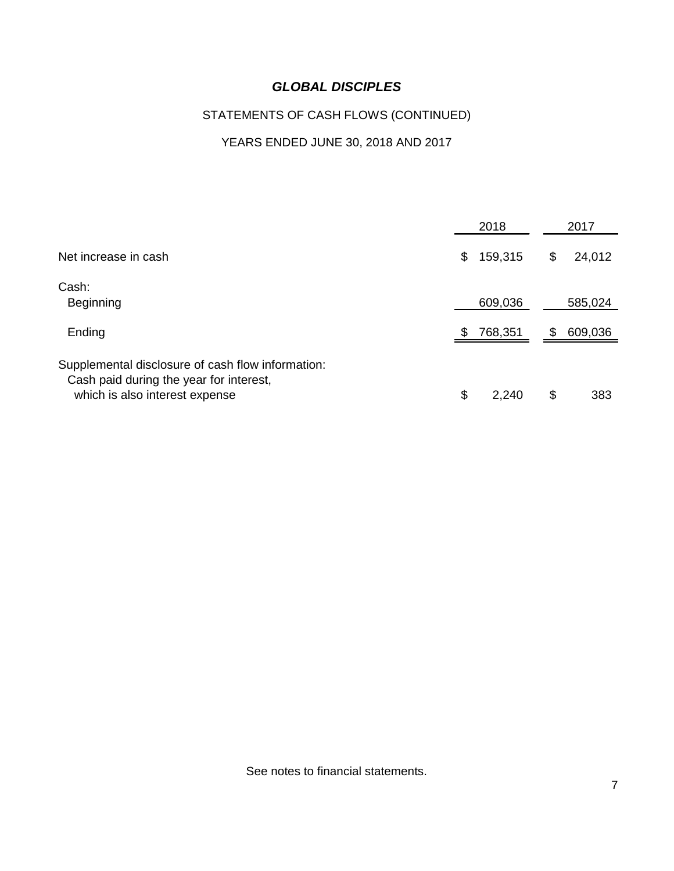# STATEMENTS OF CASH FLOWS (CONTINUED)

# YEARS ENDED JUNE 30, 2018 AND 2017

|                                                                                                                                | 2018          | 2017          |
|--------------------------------------------------------------------------------------------------------------------------------|---------------|---------------|
| Net increase in cash                                                                                                           | \$<br>159,315 | \$<br>24,012  |
| Cash:<br><b>Beginning</b>                                                                                                      | 609,036       | 585,024       |
| Ending                                                                                                                         | \$<br>768,351 | \$<br>609,036 |
| Supplemental disclosure of cash flow information:<br>Cash paid during the year for interest,<br>which is also interest expense | \$<br>2,240   | \$<br>383     |

See notes to financial statements.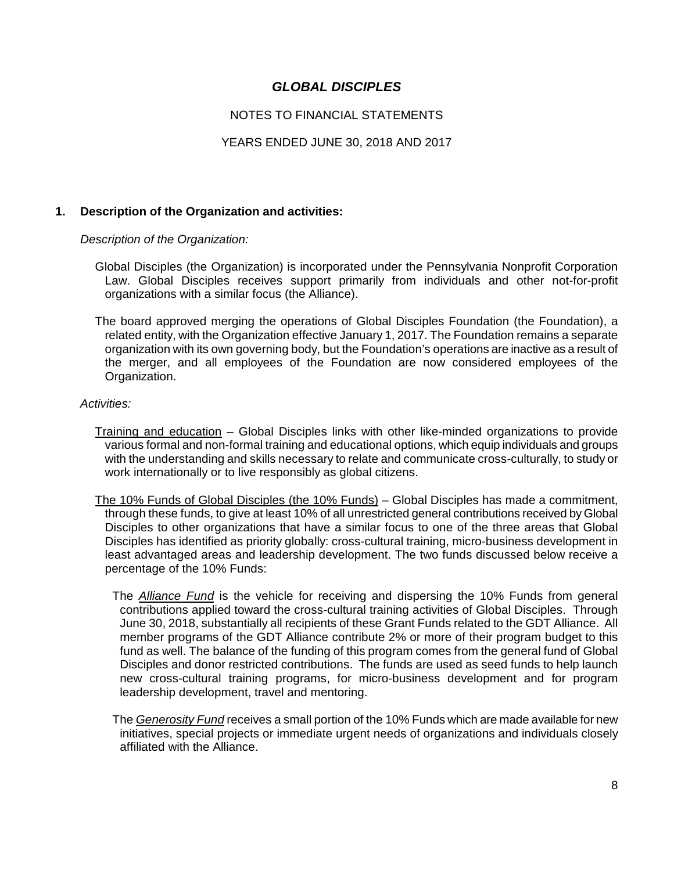## NOTES TO FINANCIAL STATEMENTS

### YEARS ENDED JUNE 30, 2018 AND 2017

### **1. Description of the Organization and activities:**

*Description of the Organization:*

- Global Disciples (the Organization) is incorporated under the Pennsylvania Nonprofit Corporation Law. Global Disciples receives support primarily from individuals and other not-for-profit organizations with a similar focus (the Alliance).
- The board approved merging the operations of Global Disciples Foundation (the Foundation), a related entity, with the Organization effective January 1, 2017. The Foundation remains a separate organization with its own governing body, but the Foundation's operations are inactive as a result of the merger, and all employees of the Foundation are now considered employees of the Organization.

#### *Activities:*

- Training and education Global Disciples links with other like-minded organizations to provide various formal and non-formal training and educational options, which equip individuals and groups with the understanding and skills necessary to relate and communicate cross-culturally, to study or work internationally or to live responsibly as global citizens.
- The 10% Funds of Global Disciples (the 10% Funds) Global Disciples has made a commitment, through these funds, to give at least 10% of all unrestricted general contributions received by Global Disciples to other organizations that have a similar focus to one of the three areas that Global Disciples has identified as priority globally: cross-cultural training, micro-business development in least advantaged areas and leadership development. The two funds discussed below receive a percentage of the 10% Funds:
	- The *Alliance Fund* is the vehicle for receiving and dispersing the 10% Funds from general contributions applied toward the cross-cultural training activities of Global Disciples. Through June 30, 2018, substantially all recipients of these Grant Funds related to the GDT Alliance. All member programs of the GDT Alliance contribute 2% or more of their program budget to this fund as well. The balance of the funding of this program comes from the general fund of Global Disciples and donor restricted contributions. The funds are used as seed funds to help launch new cross-cultural training programs, for micro-business development and for program leadership development, travel and mentoring.
	- The *Generosity Fund* receives a small portion of the 10% Funds which are made available for new initiatives, special projects or immediate urgent needs of organizations and individuals closely affiliated with the Alliance.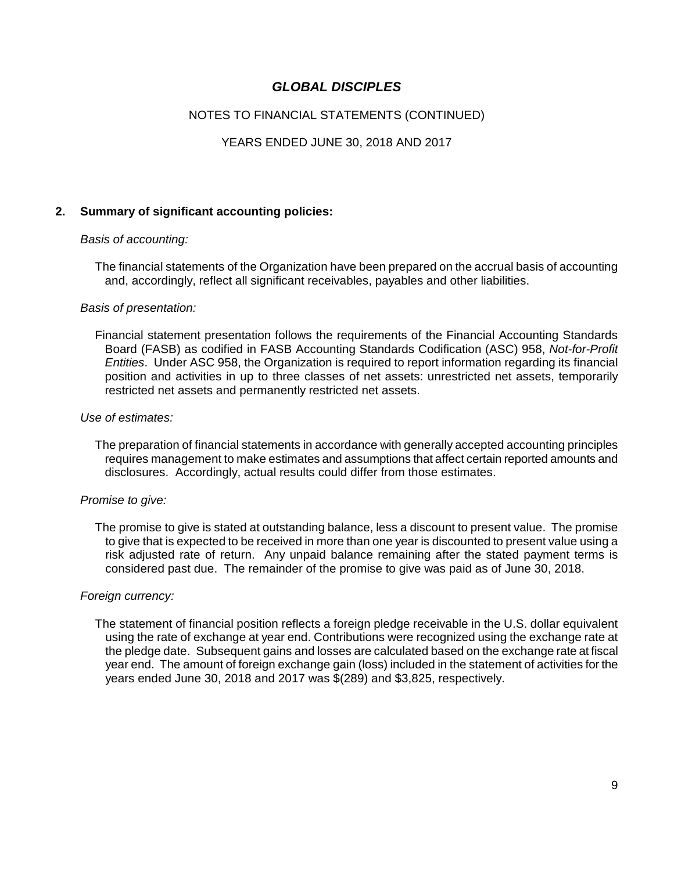## NOTES TO FINANCIAL STATEMENTS (CONTINUED)

## YEARS ENDED JUNE 30, 2018 AND 2017

### **2. Summary of significant accounting policies:**

#### *Basis of accounting:*

The financial statements of the Organization have been prepared on the accrual basis of accounting and, accordingly, reflect all significant receivables, payables and other liabilities.

#### *Basis of presentation:*

Financial statement presentation follows the requirements of the Financial Accounting Standards Board (FASB) as codified in FASB Accounting Standards Codification (ASC) 958, *Not-for-Profit Entities*. Under ASC 958, the Organization is required to report information regarding its financial position and activities in up to three classes of net assets: unrestricted net assets, temporarily restricted net assets and permanently restricted net assets.

#### *Use of estimates:*

The preparation of financial statements in accordance with generally accepted accounting principles requires management to make estimates and assumptions that affect certain reported amounts and disclosures. Accordingly, actual results could differ from those estimates.

#### *Promise to give:*

The promise to give is stated at outstanding balance, less a discount to present value. The promise to give that is expected to be received in more than one year is discounted to present value using a risk adjusted rate of return. Any unpaid balance remaining after the stated payment terms is considered past due. The remainder of the promise to give was paid as of June 30, 2018.

#### *Foreign currency:*

The statement of financial position reflects a foreign pledge receivable in the U.S. dollar equivalent using the rate of exchange at year end. Contributions were recognized using the exchange rate at the pledge date. Subsequent gains and losses are calculated based on the exchange rate at fiscal year end. The amount of foreign exchange gain (loss) included in the statement of activities for the years ended June 30, 2018 and 2017 was \$(289) and \$3,825, respectively.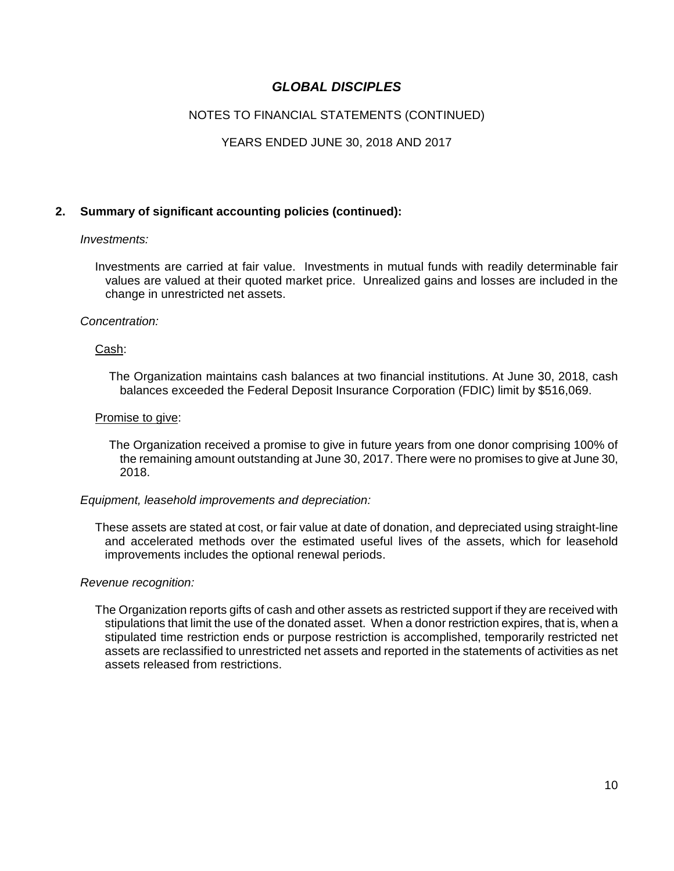## NOTES TO FINANCIAL STATEMENTS (CONTINUED)

## YEARS ENDED JUNE 30, 2018 AND 2017

## **2. Summary of significant accounting policies (continued):**

### *Investments:*

Investments are carried at fair value. Investments in mutual funds with readily determinable fair values are valued at their quoted market price. Unrealized gains and losses are included in the change in unrestricted net assets.

#### *Concentration:*

#### Cash:

The Organization maintains cash balances at two financial institutions. At June 30, 2018, cash balances exceeded the Federal Deposit Insurance Corporation (FDIC) limit by \$516,069.

#### Promise to give:

The Organization received a promise to give in future years from one donor comprising 100% of the remaining amount outstanding at June 30, 2017. There were no promises to give at June 30, 2018.

#### *Equipment, leasehold improvements and depreciation:*

These assets are stated at cost, or fair value at date of donation, and depreciated using straight-line and accelerated methods over the estimated useful lives of the assets, which for leasehold improvements includes the optional renewal periods.

#### *Revenue recognition:*

The Organization reports gifts of cash and other assets as restricted support if they are received with stipulations that limit the use of the donated asset. When a donor restriction expires, that is, when a stipulated time restriction ends or purpose restriction is accomplished, temporarily restricted net assets are reclassified to unrestricted net assets and reported in the statements of activities as net assets released from restrictions.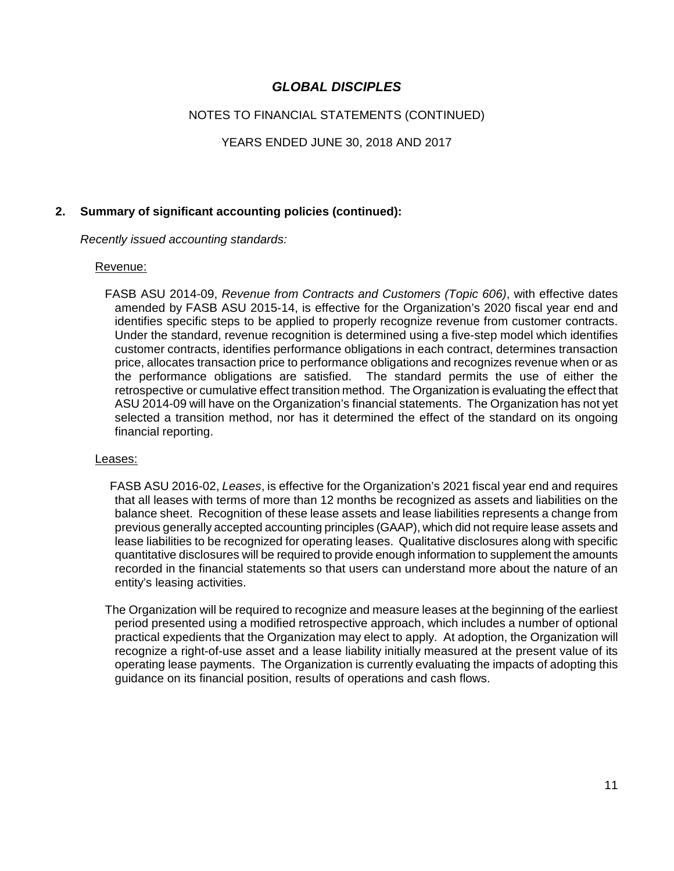## NOTES TO FINANCIAL STATEMENTS (CONTINUED)

## YEARS ENDED JUNE 30, 2018 AND 2017

## **2. Summary of significant accounting policies (continued):**

*Recently issued accounting standards:*

#### Revenue:

FASB ASU 2014-09, *Revenue from Contracts and Customers (Topic 606)*, with effective dates amended by FASB ASU 2015-14, is effective for the Organization's 2020 fiscal year end and identifies specific steps to be applied to properly recognize revenue from customer contracts. Under the standard, revenue recognition is determined using a five-step model which identifies customer contracts, identifies performance obligations in each contract, determines transaction price, allocates transaction price to performance obligations and recognizes revenue when or as the performance obligations are satisfied. The standard permits the use of either the retrospective or cumulative effect transition method. The Organization is evaluating the effect that ASU 2014-09 will have on the Organization's financial statements. The Organization has not yet selected a transition method, nor has it determined the effect of the standard on its ongoing financial reporting.

#### Leases:

FASB ASU 2016-02, *Leases*, is effective for the Organization's 2021 fiscal year end and requires that all leases with terms of more than 12 months be recognized as assets and liabilities on the balance sheet. Recognition of these lease assets and lease liabilities represents a change from previous generally accepted accounting principles (GAAP), which did not require lease assets and lease liabilities to be recognized for operating leases. Qualitative disclosures along with specific quantitative disclosures will be required to provide enough information to supplement the amounts recorded in the financial statements so that users can understand more about the nature of an entity's leasing activities.

The Organization will be required to recognize and measure leases at the beginning of the earliest period presented using a modified retrospective approach, which includes a number of optional practical expedients that the Organization may elect to apply. At adoption, the Organization will recognize a right-of-use asset and a lease liability initially measured at the present value of its operating lease payments. The Organization is currently evaluating the impacts of adopting this guidance on its financial position, results of operations and cash flows.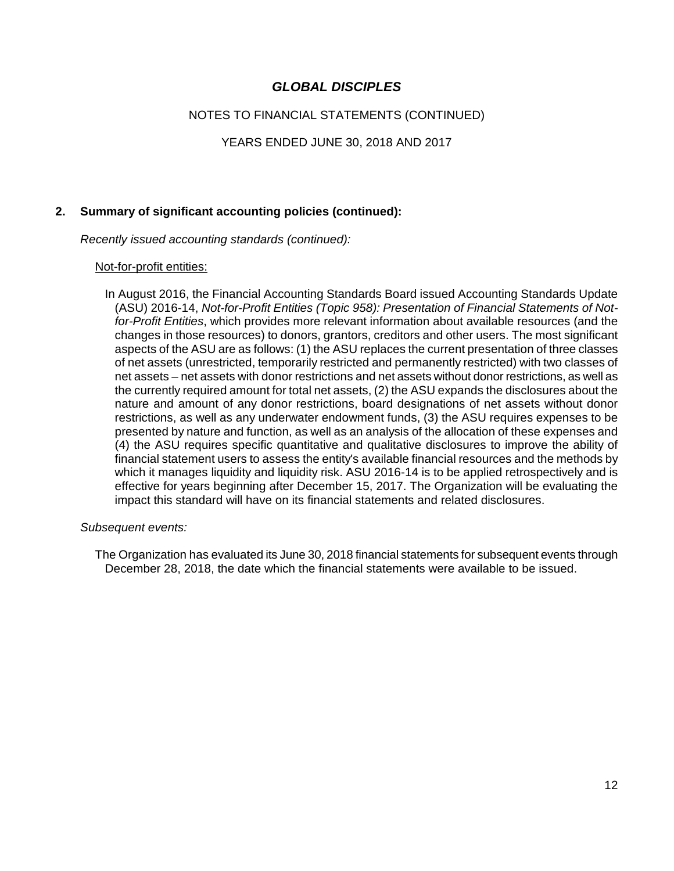## NOTES TO FINANCIAL STATEMENTS (CONTINUED)

## YEARS ENDED JUNE 30, 2018 AND 2017

## **2. Summary of significant accounting policies (continued):**

*Recently issued accounting standards (continued):*

#### Not-for-profit entities:

In August 2016, the Financial Accounting Standards Board issued Accounting Standards Update (ASU) 2016-14, *Not-for-Profit Entities (Topic 958): Presentation of Financial Statements of Notfor-Profit Entities*, which provides more relevant information about available resources (and the changes in those resources) to donors, grantors, creditors and other users. The most significant aspects of the ASU are as follows: (1) the ASU replaces the current presentation of three classes of net assets (unrestricted, temporarily restricted and permanently restricted) with two classes of net assets – net assets with donor restrictions and net assets without donor restrictions, as well as the currently required amount for total net assets, (2) the ASU expands the disclosures about the nature and amount of any donor restrictions, board designations of net assets without donor restrictions, as well as any underwater endowment funds, (3) the ASU requires expenses to be presented by nature and function, as well as an analysis of the allocation of these expenses and (4) the ASU requires specific quantitative and qualitative disclosures to improve the ability of financial statement users to assess the entity's available financial resources and the methods by which it manages liquidity and liquidity risk. ASU 2016-14 is to be applied retrospectively and is effective for years beginning after December 15, 2017. The Organization will be evaluating the impact this standard will have on its financial statements and related disclosures.

#### *Subsequent events:*

The Organization has evaluated its June 30, 2018 financial statements for subsequent events through December 28, 2018, the date which the financial statements were available to be issued.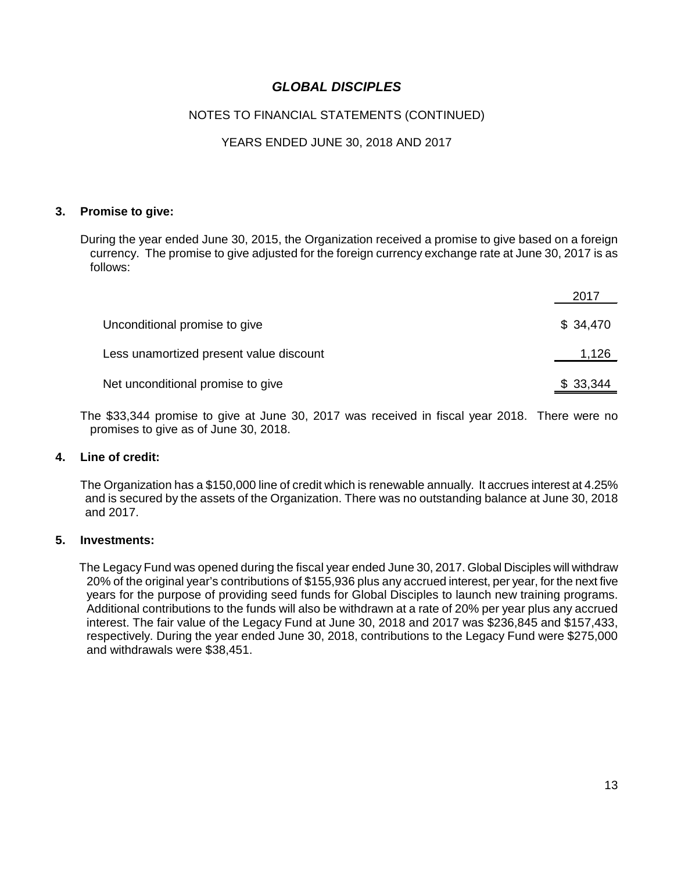## NOTES TO FINANCIAL STATEMENTS (CONTINUED)

## YEARS ENDED JUNE 30, 2018 AND 2017

### **3. Promise to give:**

During the year ended June 30, 2015, the Organization received a promise to give based on a foreign currency. The promise to give adjusted for the foreign currency exchange rate at June 30, 2017 is as follows:

|                                         | 2017     |
|-----------------------------------------|----------|
| Unconditional promise to give           | \$34,470 |
| Less unamortized present value discount | 1,126    |
| Net unconditional promise to give       | \$33,344 |

The \$33,344 promise to give at June 30, 2017 was received in fiscal year 2018. There were no promises to give as of June 30, 2018.

#### **4. Line of credit:**

The Organization has a \$150,000 line of credit which is renewable annually. It accrues interest at 4.25% and is secured by the assets of the Organization. There was no outstanding balance at June 30, 2018 and 2017.

### **5. Investments:**

The Legacy Fund was opened during the fiscal year ended June 30, 2017. Global Disciples will withdraw 20% of the original year's contributions of \$155,936 plus any accrued interest, per year, for the next five years for the purpose of providing seed funds for Global Disciples to launch new training programs. Additional contributions to the funds will also be withdrawn at a rate of 20% per year plus any accrued interest. The fair value of the Legacy Fund at June 30, 2018 and 2017 was \$236,845 and \$157,433, respectively. During the year ended June 30, 2018, contributions to the Legacy Fund were \$275,000 and withdrawals were \$38,451.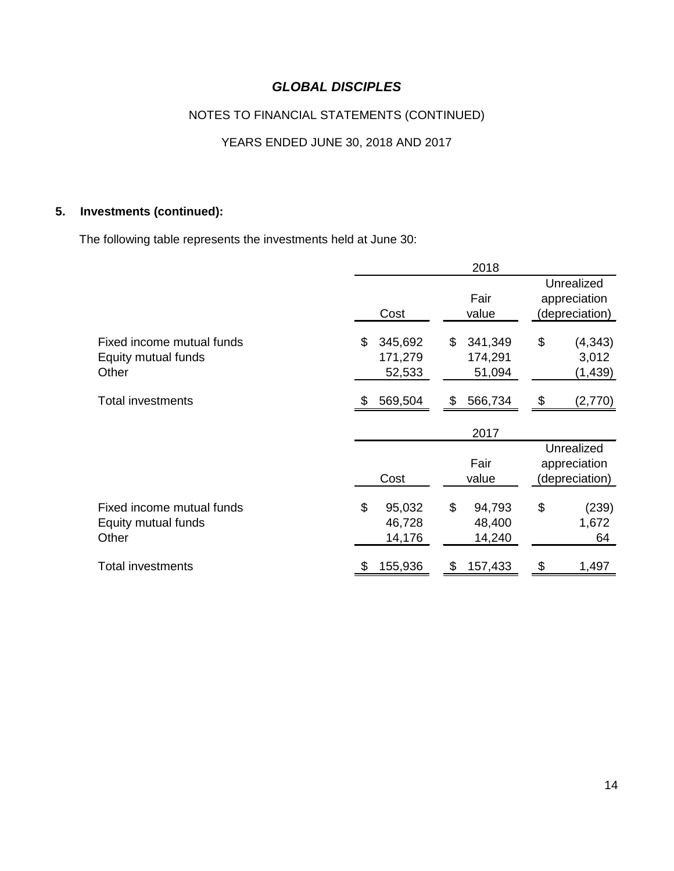# NOTES TO FINANCIAL STATEMENTS (CONTINUED)

# YEARS ENDED JUNE 30, 2018 AND 2017

## **5. Investments (continued):**

The following table represents the investments held at June 30:

|                                                           |                                    | 2018                               |                                     |
|-----------------------------------------------------------|------------------------------------|------------------------------------|-------------------------------------|
|                                                           |                                    | Fair                               | Unrealized<br>appreciation          |
|                                                           | Cost                               | value                              | (depreciation)                      |
| Fixed income mutual funds<br>Equity mutual funds<br>Other | 345,692<br>\$<br>171,279<br>52,533 | \$<br>341,349<br>174,291<br>51,094 | \$<br>(4, 343)<br>3,012<br>(1, 439) |
|                                                           |                                    |                                    |                                     |
| <b>Total investments</b>                                  | 569,504<br>S                       | 566,734<br>\$.                     | \$<br>(2,770)                       |
|                                                           |                                    | 2017                               |                                     |
|                                                           |                                    |                                    | Unrealized                          |
|                                                           |                                    | Fair                               | appreciation                        |
|                                                           | Cost                               | value                              | (depreciation)                      |
| Fixed income mutual funds                                 | \$<br>95,032                       | \$<br>94,793                       | \$<br>(239)                         |
| Equity mutual funds<br>Other                              | 46,728<br>14,176                   | 48,400<br>14,240                   | 1,672<br>64                         |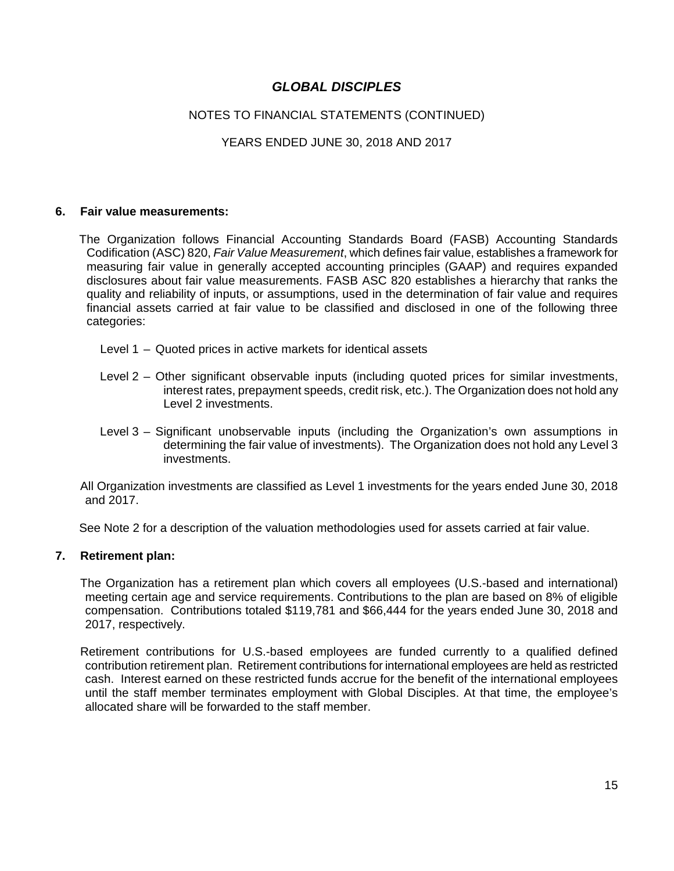## NOTES TO FINANCIAL STATEMENTS (CONTINUED)

## YEARS ENDED JUNE 30, 2018 AND 2017

#### **6. Fair value measurements:**

The Organization follows Financial Accounting Standards Board (FASB) Accounting Standards Codification (ASC) 820, *Fair Value Measurement*, which defines fair value, establishes a framework for measuring fair value in generally accepted accounting principles (GAAP) and requires expanded disclosures about fair value measurements. FASB ASC 820 establishes a hierarchy that ranks the quality and reliability of inputs, or assumptions, used in the determination of fair value and requires financial assets carried at fair value to be classified and disclosed in one of the following three categories:

- Level 1 Quoted prices in active markets for identical assets
- Level 2 Other significant observable inputs (including quoted prices for similar investments, interest rates, prepayment speeds, credit risk, etc.). The Organization does not hold any Level 2 investments.
- Level 3 Significant unobservable inputs (including the Organization's own assumptions in determining the fair value of investments). The Organization does not hold any Level 3 investments.

All Organization investments are classified as Level 1 investments for the years ended June 30, 2018 and 2017.

See Note 2 for a description of the valuation methodologies used for assets carried at fair value.

#### **7. Retirement plan:**

The Organization has a retirement plan which covers all employees (U.S.-based and international) meeting certain age and service requirements. Contributions to the plan are based on 8% of eligible compensation. Contributions totaled \$119,781 and \$66,444 for the years ended June 30, 2018 and 2017, respectively.

Retirement contributions for U.S.-based employees are funded currently to a qualified defined contribution retirement plan. Retirement contributions for international employees are held as restricted cash. Interest earned on these restricted funds accrue for the benefit of the international employees until the staff member terminates employment with Global Disciples. At that time, the employee's allocated share will be forwarded to the staff member.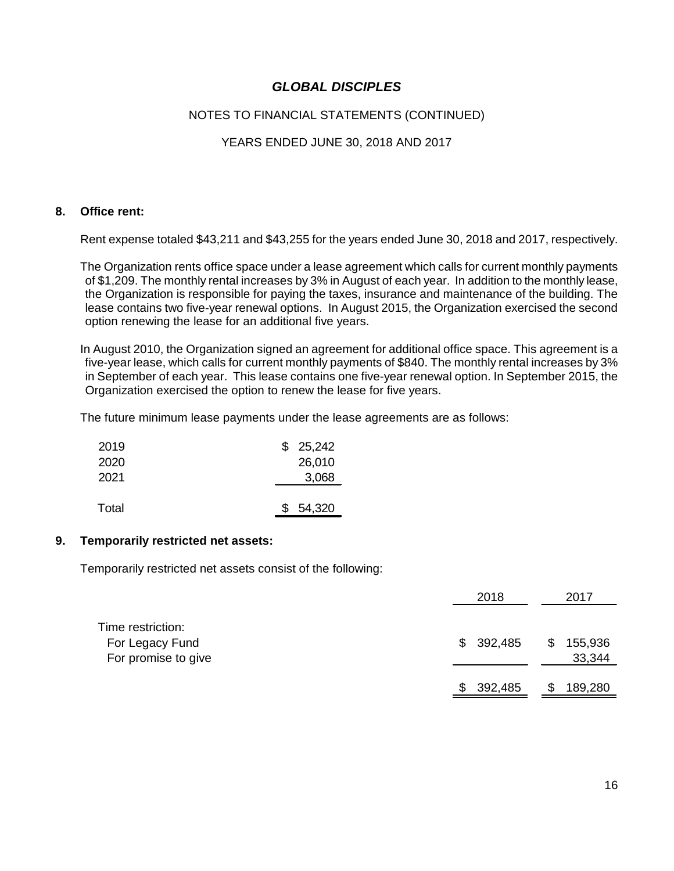## NOTES TO FINANCIAL STATEMENTS (CONTINUED)

## YEARS ENDED JUNE 30, 2018 AND 2017

### **8. Office rent:**

Rent expense totaled \$43,211 and \$43,255 for the years ended June 30, 2018 and 2017, respectively.

The Organization rents office space under a lease agreement which calls for current monthly payments of \$1,209. The monthly rental increases by 3% in August of each year. In addition to the monthly lease, the Organization is responsible for paying the taxes, insurance and maintenance of the building. The lease contains two five-year renewal options. In August 2015, the Organization exercised the second option renewing the lease for an additional five years.

In August 2010, the Organization signed an agreement for additional office space. This agreement is a five-year lease, which calls for current monthly payments of \$840. The monthly rental increases by 3% in September of each year. This lease contains one five-year renewal option. In September 2015, the Organization exercised the option to renew the lease for five years.

The future minimum lease payments under the lease agreements are as follows:

| \$25,242 |
|----------|
| 26,010   |
| 3,068    |
|          |
| 54,320   |
|          |

#### **9. Temporarily restricted net assets:**

Temporarily restricted net assets consist of the following:

|                                                             | 2018          | 2017                   |
|-------------------------------------------------------------|---------------|------------------------|
| Time restriction:<br>For Legacy Fund<br>For promise to give | 392,485<br>\$ | 155,936<br>S<br>33,344 |
|                                                             | 392,485<br>S  | 189,280                |